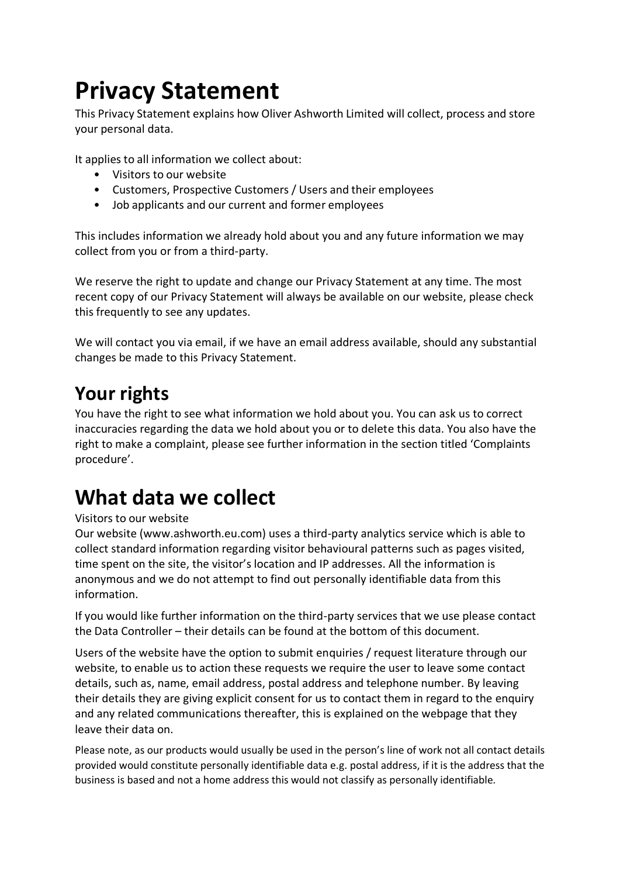# **Privacy Statement**

This Privacy Statement explains how Oliver Ashworth Limited will collect, process and store your personal data.

It applies to all information we collect about:

- Visitors to our website
- Customers, Prospective Customers / Users and their employees
- Job applicants and our current and former employees

This includes information we already hold about you and any future information we may collect from you or from a third-party.

We reserve the right to update and change our Privacy Statement at any time. The most recent copy of our Privacy Statement will always be available on our website, please check this frequently to see any updates.

We will contact you via email, if we have an email address available, should any substantial changes be made to this Privacy Statement.

### **Your rights**

You have the right to see what information we hold about you. You can ask us to correct inaccuracies regarding the data we hold about you or to delete this data. You also have the right to make a complaint, please see further information in the section titled 'Complaints procedure'.

## **What data we collect**

#### Visitors to our website

Our website (www.ashworth.eu.com) uses a third-party analytics service which is able to collect standard information regarding visitor behavioural patterns such as pages visited, time spent on the site, the visitor's location and IP addresses. All the information is anonymous and we do not attempt to find out personally identifiable data from this information.

If you would like further information on the third-party services that we use please contact the Data Controller – their details can be found at the bottom of this document.

Users of the website have the option to submit enquiries / request literature through our website, to enable us to action these requests we require the user to leave some contact details, such as, name, email address, postal address and telephone number. By leaving their details they are giving explicit consent for us to contact them in regard to the enquiry and any related communications thereafter, this is explained on the webpage that they leave their data on.

Please note, as our products would usually be used in the person's line of work not all contact details provided would constitute personally identifiable data e.g. postal address, if it is the address that the business is based and not a home address this would not classify as personally identifiable.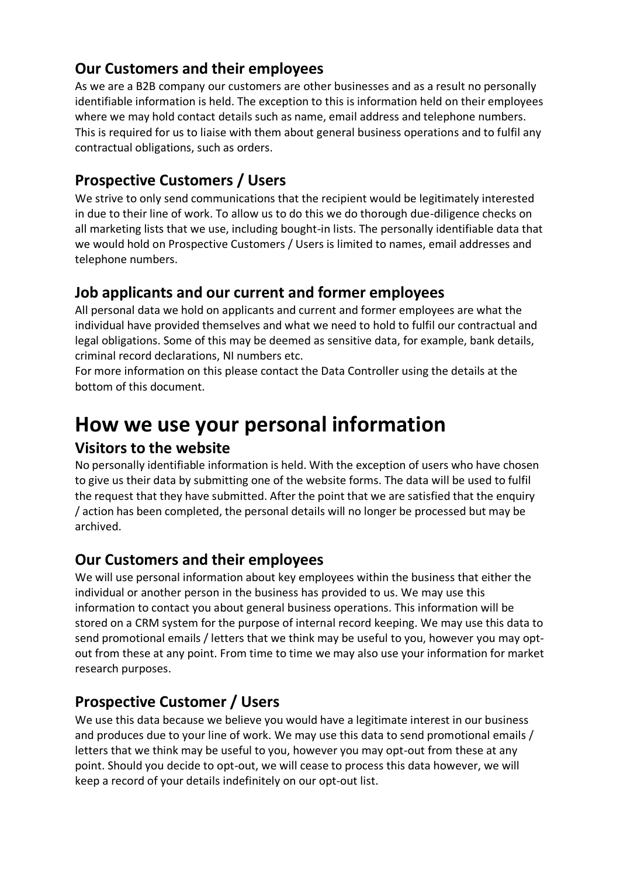#### **Our Customers and their employees**

As we are a B2B company our customers are other businesses and as a result no personally identifiable information is held. The exception to this is information held on their employees where we may hold contact details such as name, email address and telephone numbers. This is required for us to liaise with them about general business operations and to fulfil any contractual obligations, such as orders.

#### **Prospective Customers / Users**

We strive to only send communications that the recipient would be legitimately interested in due to their line of work. To allow us to do this we do thorough due-diligence checks on all marketing lists that we use, including bought-in lists. The personally identifiable data that we would hold on Prospective Customers / Users is limited to names, email addresses and telephone numbers.

#### **Job applicants and our current and former employees**

All personal data we hold on applicants and current and former employees are what the individual have provided themselves and what we need to hold to fulfil our contractual and legal obligations. Some of this may be deemed as sensitive data, for example, bank details, criminal record declarations, NI numbers etc.

For more information on this please contact the Data Controller using the details at the bottom of this document.

## **How we use your personal information**

#### **Visitors to the website**

No personally identifiable information is held. With the exception of users who have chosen to give us their data by submitting one of the website forms. The data will be used to fulfil the request that they have submitted. After the point that we are satisfied that the enquiry / action has been completed, the personal details will no longer be processed but may be archived.

#### **Our Customers and their employees**

We will use personal information about key employees within the business that either the individual or another person in the business has provided to us. We may use this information to contact you about general business operations. This information will be stored on a CRM system for the purpose of internal record keeping. We may use this data to send promotional emails / letters that we think may be useful to you, however you may optout from these at any point. From time to time we may also use your information for market research purposes.

#### **Prospective Customer / Users**

We use this data because we believe you would have a legitimate interest in our business and produces due to your line of work. We may use this data to send promotional emails / letters that we think may be useful to you, however you may opt-out from these at any point. Should you decide to opt-out, we will cease to process this data however, we will keep a record of your details indefinitely on our opt-out list.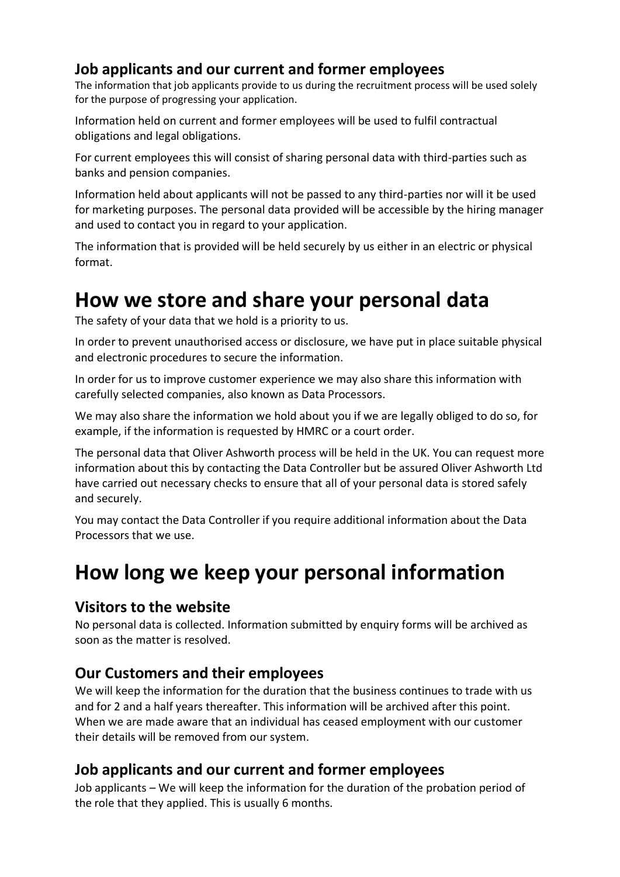#### **Job applicants and our current and former employees**

The information that job applicants provide to us during the recruitment process will be used solely for the purpose of progressing your application.

Information held on current and former employees will be used to fulfil contractual obligations and legal obligations.

For current employees this will consist of sharing personal data with third-parties such as banks and pension companies.

Information held about applicants will not be passed to any third-parties nor will it be used for marketing purposes. The personal data provided will be accessible by the hiring manager and used to contact you in regard to your application.

The information that is provided will be held securely by us either in an electric or physical format.

## **How we store and share your personal data**

The safety of your data that we hold is a priority to us.

In order to prevent unauthorised access or disclosure, we have put in place suitable physical and electronic procedures to secure the information.

In order for us to improve customer experience we may also share this information with carefully selected companies, also known as Data Processors.

We may also share the information we hold about you if we are legally obliged to do so, for example, if the information is requested by HMRC or a court order.

The personal data that Oliver Ashworth process will be held in the UK. You can request more information about this by contacting the Data Controller but be assured Oliver Ashworth Ltd have carried out necessary checks to ensure that all of your personal data is stored safely and securely.

You may contact the Data Controller if you require additional information about the Data Processors that we use.

## **How long we keep your personal information**

#### **Visitors to the website**

No personal data is collected. Information submitted by enquiry forms will be archived as soon as the matter is resolved.

#### **Our Customers and their employees**

We will keep the information for the duration that the business continues to trade with us and for 2 and a half years thereafter. This information will be archived after this point. When we are made aware that an individual has ceased employment with our customer their details will be removed from our system.

#### **Job applicants and our current and former employees**

Job applicants – We will keep the information for the duration of the probation period of the role that they applied. This is usually 6 months.